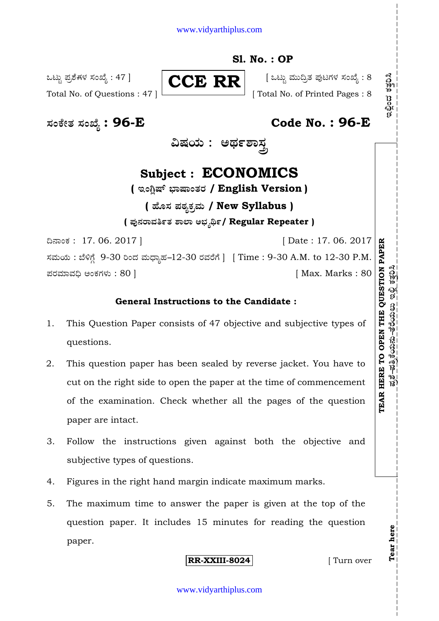#### www.vidyarthiplus.com

### **Sl. No. : OP**

ಒಟ್ಟು ಪ್ರಶೆಗಳ ಸಂಖ್ಯೆ : 47 ]  $\blacksquare$   $\blacksquare$   $\blacksquare$   $\blacksquare$   $\blacksquare$   $\blacksquare$   $\blacksquare$   $\blacksquare$   $\blacksquare$   $\blacksquare$   $\blacksquare$   $\blacksquare$   $\blacksquare$   $\blacksquare$   $\blacksquare$   $\blacksquare$   $\blacksquare$   $\blacksquare$   $\blacksquare$   $\blacksquare$   $\blacksquare$   $\blacksquare$   $\blacksquare$   $\blacksquare$   $\blacksquare$   $\blacksquare$   $\blacksquare$   $\$ 

**CCE RR**

Total No. of Questions : 47 ] [ Total No. of Printed Pages : 8

**—⁄MOÊfi}⁄ —⁄MSÊ¿ : 96-E Code No. : 96-E**

**…Œ⁄æ⁄fl : @¢⁄%À¤—⁄°**

# **Subject : ECONOMICS**

 $($  ಇಂಗ್ಷಿಷ್ ಭಾಷಾಂತರ / English Version )

# **( 'ʇ—⁄ Æ⁄p⁄¿O⁄√»⁄fl / New Syllabus ) ( Æ⁄'¥´⁄¡¤»⁄~%}⁄ À¤≈¤ @∫⁄¥¿£%/ Regular Repeater )**

¶´¤MO⁄ : 17. 06. 2017 ] [ Date : 17. 06. 2017 ಸಮಯ : ಬೆಳಿಗ್ಗೆ 9-30 ರಿಂದ ಮಧ್ಯಾಹ–12-30 ರವರೆಗೆ ] [ Time : 9-30 A.M. to 12-30 P.M. Æ⁄¡⁄»⁄·¤»⁄© @MO⁄V⁄◊⁄fl : 80 ] [ Max. Marks : 80

### **General Instructions to the Candidate :**

- 1. This Question Paper consists of 47 objective and subjective types of questions.
- 2. This question paper has been sealed by reverse jacket. You have to cut on the right side to open the paper at the time of commencement of the examination. Check whether all the pages of the question paper are intact.
- 3. Follow the instructions given against both the objective and subjective types of questions.
- 4. Figures in the right hand margin indicate maximum marks.
- 5. The maximum time to answer the paper is given at the top of the question paper. It includes 15 minutes for reading the question paper.

**RR-XXIII-8024** [ Turn over

**Tear here** 

Tear here

**TEAR HERE TO OPEN THE QUESTION PAPE**

ಪ್ರಶೆ–ಹತ್ರಿಕೆಯನು–ತೆರೆಯಲು ಇಲ್ಲಿ ಕತ್ತರಿಸಿ

**R**

**Æ⁄√ÀÊ- Æ⁄~√OÊæ⁄fl´⁄fl- }Ê¡Êæ⁄flƒfl BΔ« O⁄}⁄°¬" BΔ«M•⁄ O⁄}⁄°¬"**

ಇಲ್ಲಿಂದ ಕತ್ತರಿಸಿ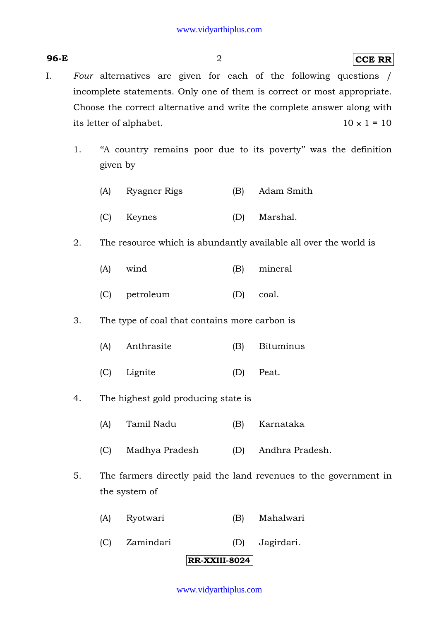- I. *Four* alternatives are given for each of the following questions / incomplete statements. Only one of them is correct or most appropriate. Choose the correct alternative and write the complete answer along with its letter of alphabet.  $10 \times 1 = 10$ 
	- 1. ''A country remains poor due to its poverty'' was the definition given by
		- (A) Ryagner Rigs (B) Adam Smith
		- (C) Keynes (D) Marshal.
	- 2. The resource which is abundantly available all over the world is
		- (A) wind (B) mineral
		- (C) petroleum (D) coal.
	- 3. The type of coal that contains more carbon is
		- (A) Anthrasite (B) Bituminus
		- (C) Lignite (D) Peat.
	- 4. The highest gold producing state is
		- (A) Tamil Nadu (B) Karnataka
		- (C) Madhya Pradesh (D) Andhra Pradesh.
	- 5. The farmers directly paid the land revenues to the government in the system of
		- (A) Ryotwari (B) Mahalwari
		- (C) Zamindari (D) Jagirdari.

#### **RR-XXIII-8024**

#### www.vidyarthiplus.com

#### **96-E** 2 **CCE RR**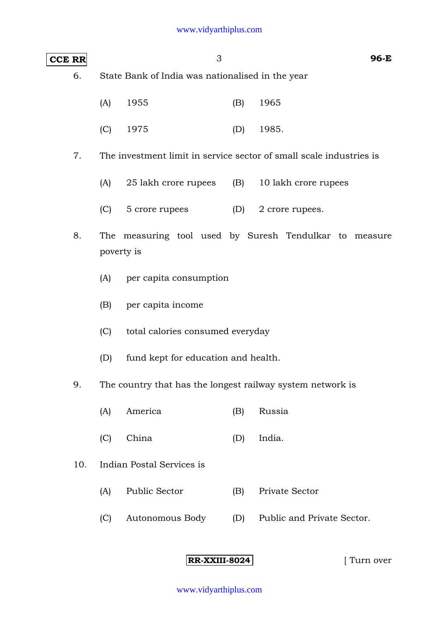### **CCE RR** 3 **96-E**

6. State Bank of India was nationalised in the year

|  | $(A)$ 1955 | $(B)$ 1965  |
|--|------------|-------------|
|  | $(C)$ 1975 | $(D)$ 1985. |

7. The investment limit in service sector of small scale industries is

- (A) 25 lakh crore rupees (B) 10 lakh crore rupees
- (C) 5 crore rupees (D) 2 crore rupees.
- 8. The measuring tool used by Suresh Tendulkar to measure poverty is
	- (A) per capita consumption
	- (B) per capita income
	- (C) total calories consumed everyday
	- (D) fund kept for education and health.
- 9. The country that has the longest railway system network is
	- (A) America (B) Russia
	- (C) China (D) India.
- 10. Indian Postal Services is
	- (A) Public Sector (B) Private Sector
	- (C) Autonomous Body (D) Public and Private Sector.

**RR-XXIII-8024** [ Turn over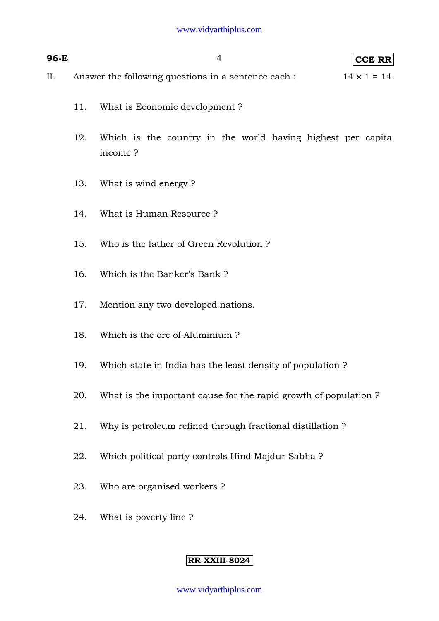| 96-E |     | $\overline{4}$<br>CCE RR                                                  |
|------|-----|---------------------------------------------------------------------------|
| II.  |     | $14 \times 1 = 14$<br>Answer the following questions in a sentence each : |
|      | 11. | What is Economic development?                                             |
|      | 12. | Which is the country in the world having highest per capita<br>income?    |
|      | 13. | What is wind energy?                                                      |
|      | 14. | What is Human Resource?                                                   |
|      | 15. | Who is the father of Green Revolution?                                    |
|      | 16. | Which is the Banker's Bank?                                               |
|      | 17. | Mention any two developed nations.                                        |
|      | 18. | Which is the ore of Aluminium?                                            |
|      | 19. | Which state in India has the least density of population?                 |
|      | 20. | What is the important cause for the rapid growth of population?           |
|      | 21. | Why is petroleum refined through fractional distillation?                 |
|      | 22. | Which political party controls Hind Majdur Sabha?                         |
|      | 23. | Who are organised workers?                                                |
|      | 24. | What is poverty line?                                                     |

### **RR-XXIII-8024**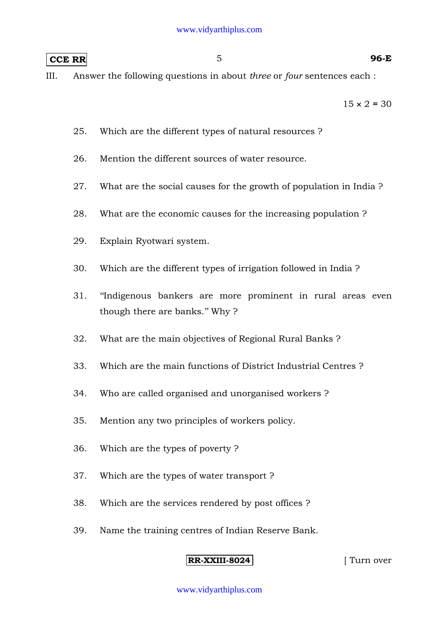### **CCE RR** 5 **96-E**

III. Answer the following questions in about *three* or *four* sentences each :

 $15 \times 2 = 30$ 

- 25. Which are the different types of natural resources ?
- 26. Mention the different sources of water resource.
- 27. What are the social causes for the growth of population in India ?
- 28. What are the economic causes for the increasing population ?
- 29. Explain Ryotwari system.
- 30. Which are the different types of irrigation followed in India ?
- 31. ''Indigenous bankers are more prominent in rural areas even though there are banks.'' Why ?
- 32. What are the main objectives of Regional Rural Banks ?
- 33. Which are the main functions of District Industrial Centres ?
- 34. Who are called organised and unorganised workers ?
- 35. Mention any two principles of workers policy.
- 36. Which are the types of poverty ?
- 37. Which are the types of water transport ?
- 38. Which are the services rendered by post offices ?
- 39. Name the training centres of Indian Reserve Bank.

#### **RR-XXIII-8024** [ Turn over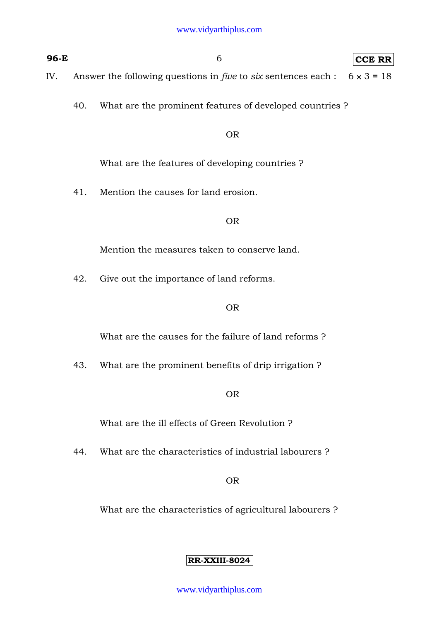- **96-E** 6 **CCE RR** IV. Answer the following questions in *five* to *six* sentences each : 6 × 3 **=** 18
	- - 40. What are the prominent features of developed countries ?

#### OR

What are the features of developing countries ?

41. Mention the causes for land erosion.

OR

Mention the measures taken to conserve land.

42. Give out the importance of land reforms.

#### OR

What are the causes for the failure of land reforms ?

43. What are the prominent benefits of drip irrigation ?

OR

What are the ill effects of Green Revolution ?

44. What are the characteristics of industrial labourers ?

#### OR

What are the characteristics of agricultural labourers ?

#### **RR-XXIII-8024**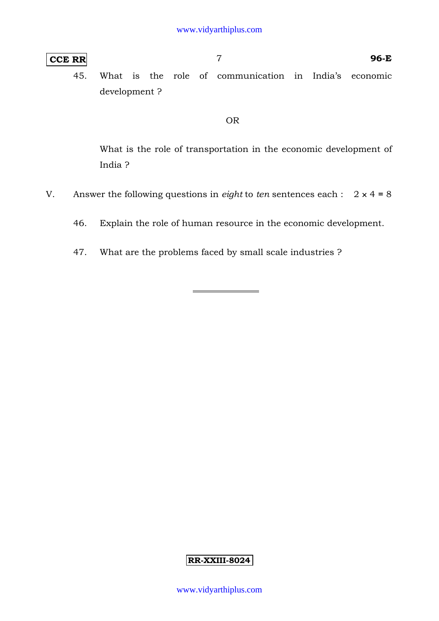### **CCE RR** 7 **96-E**

45. What is the role of communication in India's economic development ?

#### OR

 What is the role of transportation in the economic development of India ?

- V. Answer the following questions in *eight* to *ten* sentences each :  $2 \times 4 = 8$ 
	- 46. Explain the role of human resource in the economic development.
	- 47. What are the problems faced by small scale industries ?

#### **RR-XXIII-8024**